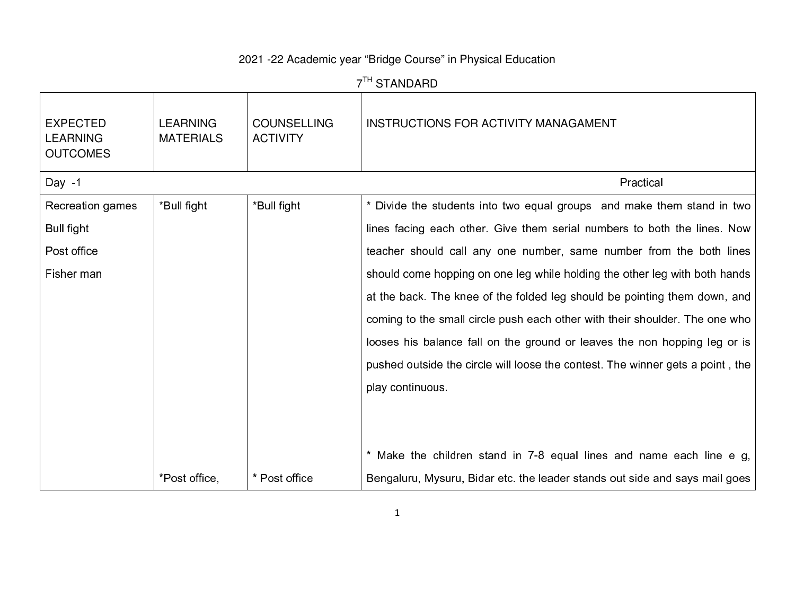## 2021 -22 Academic year "Bridge Course" in Physical Education

| 7 <sup>TH</sup> STANDARD                              |                                     |                                       |                                                                                |  |  |  |
|-------------------------------------------------------|-------------------------------------|---------------------------------------|--------------------------------------------------------------------------------|--|--|--|
| <b>EXPECTED</b><br><b>LEARNING</b><br><b>OUTCOMES</b> | <b>LEARNING</b><br><b>MATERIALS</b> | <b>COUNSELLING</b><br><b>ACTIVITY</b> | <b>INSTRUCTIONS FOR ACTIVITY MANAGAMENT</b>                                    |  |  |  |
| Day $-1$                                              |                                     |                                       | Practical                                                                      |  |  |  |
| Recreation games                                      | *Bull fight                         | *Bull fight                           | * Divide the students into two equal groups and make them stand in two         |  |  |  |
| Bull fight                                            |                                     |                                       | lines facing each other. Give them serial numbers to both the lines. Now       |  |  |  |
| Post office                                           |                                     |                                       | teacher should call any one number, same number from the both lines            |  |  |  |
| Fisher man                                            |                                     |                                       | should come hopping on one leg while holding the other leg with both hands     |  |  |  |
|                                                       |                                     |                                       | at the back. The knee of the folded leg should be pointing them down, and      |  |  |  |
|                                                       |                                     |                                       | coming to the small circle push each other with their shoulder. The one who    |  |  |  |
|                                                       |                                     |                                       | looses his balance fall on the ground or leaves the non hopping leg or is      |  |  |  |
|                                                       |                                     |                                       | pushed outside the circle will loose the contest. The winner gets a point, the |  |  |  |
|                                                       |                                     |                                       | play continuous.                                                               |  |  |  |
|                                                       |                                     |                                       |                                                                                |  |  |  |
|                                                       |                                     |                                       |                                                                                |  |  |  |
|                                                       |                                     |                                       | * Make the children stand in 7-8 equal lines and name each line e g,           |  |  |  |
|                                                       | *Post office,                       | * Post office                         | Bengaluru, Mysuru, Bidar etc. the leader stands out side and says mail goes    |  |  |  |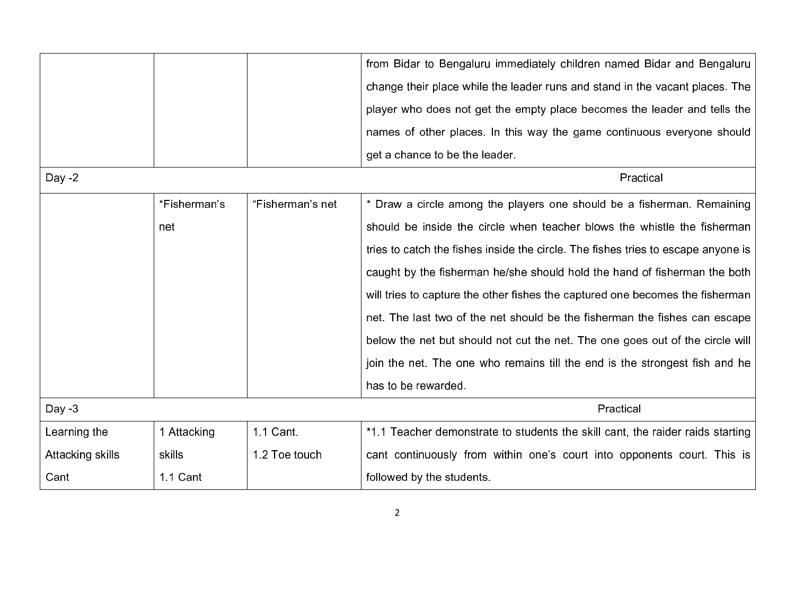| "Fisherman's net<br>*Fisherman's | from Bidar to Bengaluru immediately children named Bidar and Bengaluru<br>get a chance to be the leader.<br>Practical                                                                                                                                                                                             |
|----------------------------------|-------------------------------------------------------------------------------------------------------------------------------------------------------------------------------------------------------------------------------------------------------------------------------------------------------------------|
|                                  | change their place while the leader runs and stand in the vacant places. The                                                                                                                                                                                                                                      |
|                                  | player who does not get the empty place becomes the leader and tells the<br>names of other places. In this way the game continuous everyone should<br>* Draw a circle among the players one should be a fisherman. Remaining<br>tries to catch the fishes inside the circle. The fishes tries to escape anyone is |
|                                  |                                                                                                                                                                                                                                                                                                                   |
|                                  | should be inside the circle when teacher blows the whistle the fisherman<br>caught by the fisherman he/she should hold the hand of fisherman the both                                                                                                                                                             |
|                                  |                                                                                                                                                                                                                                                                                                                   |
|                                  |                                                                                                                                                                                                                                                                                                                   |
|                                  |                                                                                                                                                                                                                                                                                                                   |
|                                  |                                                                                                                                                                                                                                                                                                                   |
|                                  |                                                                                                                                                                                                                                                                                                                   |
|                                  |                                                                                                                                                                                                                                                                                                                   |
|                                  | will tries to capture the other fishes the captured one becomes the fisherman                                                                                                                                                                                                                                     |
|                                  | net. The last two of the net should be the fisherman the fishes can escape                                                                                                                                                                                                                                        |
|                                  | below the net but should not cut the net. The one goes out of the circle will                                                                                                                                                                                                                                     |
|                                  | join the net. The one who remains till the end is the strongest fish and he                                                                                                                                                                                                                                       |
|                                  | has to be rewarded.                                                                                                                                                                                                                                                                                               |
|                                  | Practical                                                                                                                                                                                                                                                                                                         |
| 1.1 Cant.                        | *1.1 Teacher demonstrate to students the skill cant, the raider raids starting                                                                                                                                                                                                                                    |
| 1.2 Toe touch                    | cant continuously from within one's court into opponents court. This is                                                                                                                                                                                                                                           |
|                                  | followed by the students.                                                                                                                                                                                                                                                                                         |
|                                  | 1 Attacking<br>1.1 Cant                                                                                                                                                                                                                                                                                           |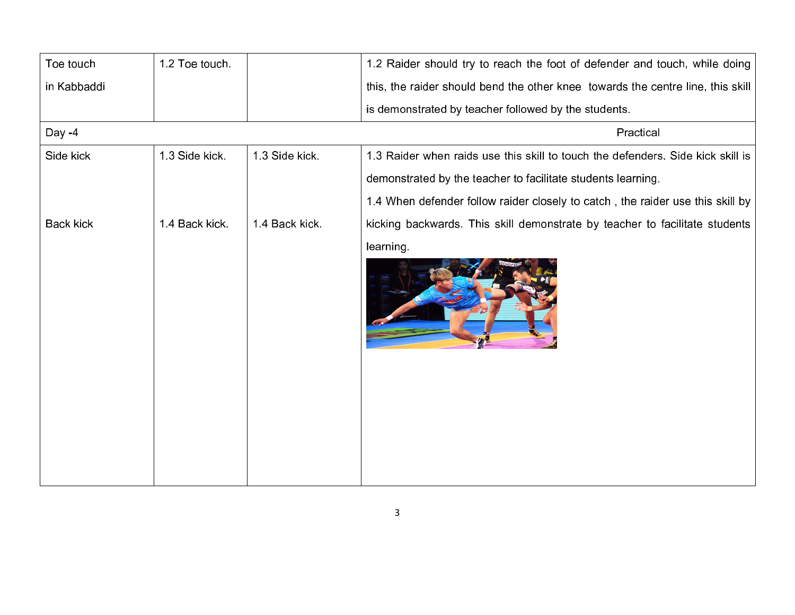| Toe touch        | 1.2 Toe touch. |                | 1.2 Raider should try to reach the foot of defender and touch, while doing      |
|------------------|----------------|----------------|---------------------------------------------------------------------------------|
| in Kabbaddi      |                |                | this, the raider should bend the other knee towards the centre line, this skill |
|                  |                |                | is demonstrated by teacher followed by the students.                            |
| Day -4           |                |                | Practical                                                                       |
| Side kick        | 1.3 Side kick. | 1.3 Side kick. | 1.3 Raider when raids use this skill to touch the defenders. Side kick skill is |
|                  |                |                | demonstrated by the teacher to facilitate students learning.                    |
|                  |                |                | 1.4 When defender follow raider closely to catch, the raider use this skill by  |
| <b>Back kick</b> | 14 Back kick   | 14 Back kick.  | kicking backwards. This skill demonstrate by teacher to facilitate students     |
|                  |                |                | learning.                                                                       |
|                  |                |                |                                                                                 |
|                  |                |                |                                                                                 |
|                  |                |                |                                                                                 |
|                  |                |                |                                                                                 |
|                  |                |                |                                                                                 |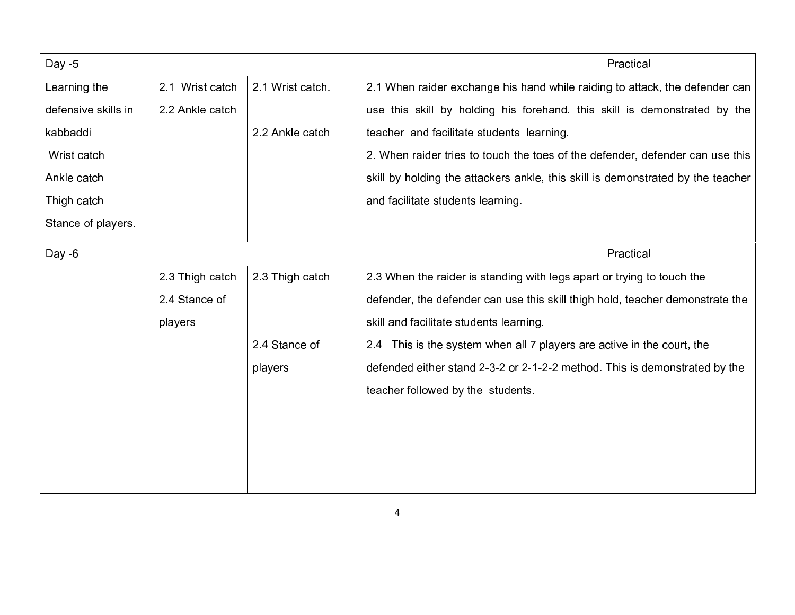| Day - $5$           |                 |                 | Practical                                                                       |
|---------------------|-----------------|-----------------|---------------------------------------------------------------------------------|
| Learning the        | 2.1 Wrist catch | 2.1 Wrist catch | 2.1 When raider exchange his hand while raiding to attack, the defender can     |
| defensive skills in | 2.2 Ankle catch |                 | use this skill by holding his forehand. this skill is demonstrated by the       |
| kabbaddi            |                 | 2.2 Ankle catch | teacher and facilitate students learning.                                       |
| Wrist catch         |                 |                 | 2. When raider tries to touch the toes of the defender, defender can use this   |
| Ankle catch         |                 |                 | skill by holding the attackers ankle, this skill is demonstrated by the teacher |
| Thigh catch         |                 |                 | and facilitate students learning.                                               |
| Stance of players.  |                 |                 |                                                                                 |
| Day $-6$            |                 |                 | Practical                                                                       |
|                     | 2.3 Thigh catch | 2.3 Thigh catch | 2.3 When the raider is standing with legs apart or trying to touch the          |
|                     | 2.4 Stance of   |                 | defender, the defender can use this skill thigh hold, teacher demonstrate the   |
|                     | players         |                 | skill and facilitate students learning.                                         |
|                     |                 | 24 Stance of    | 2.4 This is the system when all 7 players are active in the court, the          |
|                     |                 | players         | defended either stand 2-3-2 or 2-1-2-2 method. This is demonstrated by the      |
|                     |                 |                 | teacher followed by the students.                                               |
|                     |                 |                 |                                                                                 |
|                     |                 |                 |                                                                                 |
|                     |                 |                 |                                                                                 |
|                     |                 |                 |                                                                                 |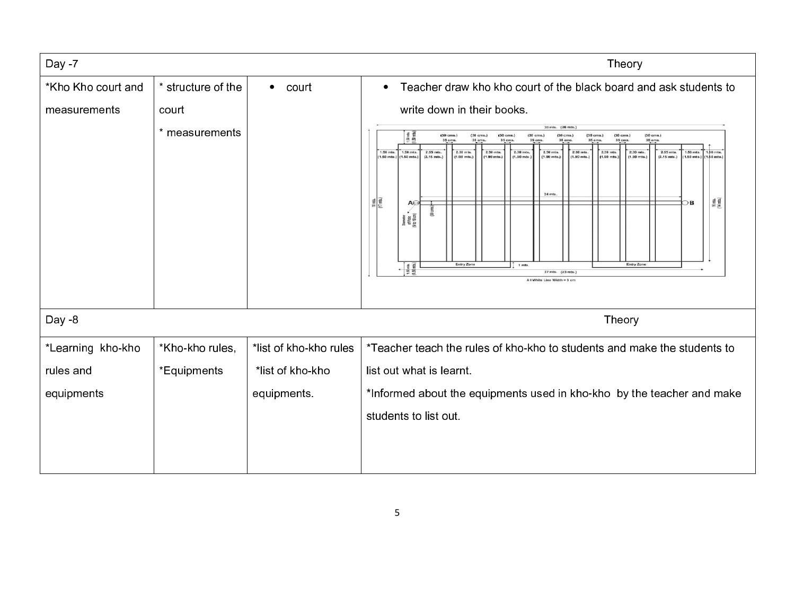| Day -7             |                    |                        | Theory                                                                                                                                                                                                                                                                                                                                                                                                                                                                                                                                                                                                                                                                                                                                                                                                                                                                                                                                                                                                                                                      |  |  |  |  |  |  |  |
|--------------------|--------------------|------------------------|-------------------------------------------------------------------------------------------------------------------------------------------------------------------------------------------------------------------------------------------------------------------------------------------------------------------------------------------------------------------------------------------------------------------------------------------------------------------------------------------------------------------------------------------------------------------------------------------------------------------------------------------------------------------------------------------------------------------------------------------------------------------------------------------------------------------------------------------------------------------------------------------------------------------------------------------------------------------------------------------------------------------------------------------------------------|--|--|--|--|--|--|--|
| *Kho Kho court and | * structure of the | $\bullet$ court        | Teacher draw kho kho court of the black board and ask students to<br>$\bullet$                                                                                                                                                                                                                                                                                                                                                                                                                                                                                                                                                                                                                                                                                                                                                                                                                                                                                                                                                                              |  |  |  |  |  |  |  |
| measurements       | court              |                        | write down in their books.                                                                                                                                                                                                                                                                                                                                                                                                                                                                                                                                                                                                                                                                                                                                                                                                                                                                                                                                                                                                                                  |  |  |  |  |  |  |  |
|                    | * measurements     |                        | 30 mts. (26 mts.)<br>$50$ min.<br>$50$ min.<br>(30 cms.)<br>$[30 \text{ cm} s.]$<br>$(30 \text{ cm})$<br>(30 cms.)<br>(30 cms.)<br>(30 cms.)<br>$(30 \text{ cm})$<br>$(30 \text{ cm})$<br><b>35 cms</b><br>35 cms<br>35 cms<br>1.50 mts.<br>2.50 mts.<br>2.30 mts.<br>2.30 mts.<br>2.30 mts.<br>2.55 m/s.<br>1.50 mls.<br>2.55 mts.<br>2.30 mts.<br>2.30 mts.<br>2.50 mts.<br>1.50 mts<br>1.50 mts<br>[1.50 mts.]<br>1.50 mts.<br>$(2.15$ mts.)<br>$(1.90$ mts.)<br>$(1.90$ mts.)<br>(1.90 mts.)<br>$(1.90$ mts.]<br>$(1.90$ mts.]<br>11.90 mts.<br>(1.90 mts.)<br>$(2.15 \text{ m/s.})$<br>1.50 mts.<br>$(1.50$ mts.]<br>24 mm.<br>$\begin{array}{c c} \hline \mbox{eff} & \mbox{eff} \\ \hline \mbox{eff} & \mbox{eff} \\ \hline \mbox{eff} & \mbox{eff} \\ \hline \end{array}$<br>$\begin{array}{c} 16 \text{ mJ} \\ (14 \text{ mJ}) \end{array}$<br>$\Box$<br>A⊖<br>흞<br>Diameter<br>of Folk<br>9 to 10 cm<br>Entry Zone<br><b>Entry Zone</b><br>$\frac{150 \text{ m/s}}{150 \text{ m/s}}$<br>1 mts<br>27 mts. (23 mts.)<br>All White Line Width = 3 cm |  |  |  |  |  |  |  |
| Day -8             |                    |                        | Theory                                                                                                                                                                                                                                                                                                                                                                                                                                                                                                                                                                                                                                                                                                                                                                                                                                                                                                                                                                                                                                                      |  |  |  |  |  |  |  |
| *Learning kho-kho  | *Kho-kho rules,    | *list of kho-kho rules | *Teacher teach the rules of kho-kho to students and make the students to                                                                                                                                                                                                                                                                                                                                                                                                                                                                                                                                                                                                                                                                                                                                                                                                                                                                                                                                                                                    |  |  |  |  |  |  |  |
| rules and          | *Equipments        | *list of kho-kho       | list out what is learnt.                                                                                                                                                                                                                                                                                                                                                                                                                                                                                                                                                                                                                                                                                                                                                                                                                                                                                                                                                                                                                                    |  |  |  |  |  |  |  |
| equipments         |                    | equipments.            | *Informed about the equipments used in kho-kho by the teacher and make                                                                                                                                                                                                                                                                                                                                                                                                                                                                                                                                                                                                                                                                                                                                                                                                                                                                                                                                                                                      |  |  |  |  |  |  |  |
|                    |                    |                        | students to list out.                                                                                                                                                                                                                                                                                                                                                                                                                                                                                                                                                                                                                                                                                                                                                                                                                                                                                                                                                                                                                                       |  |  |  |  |  |  |  |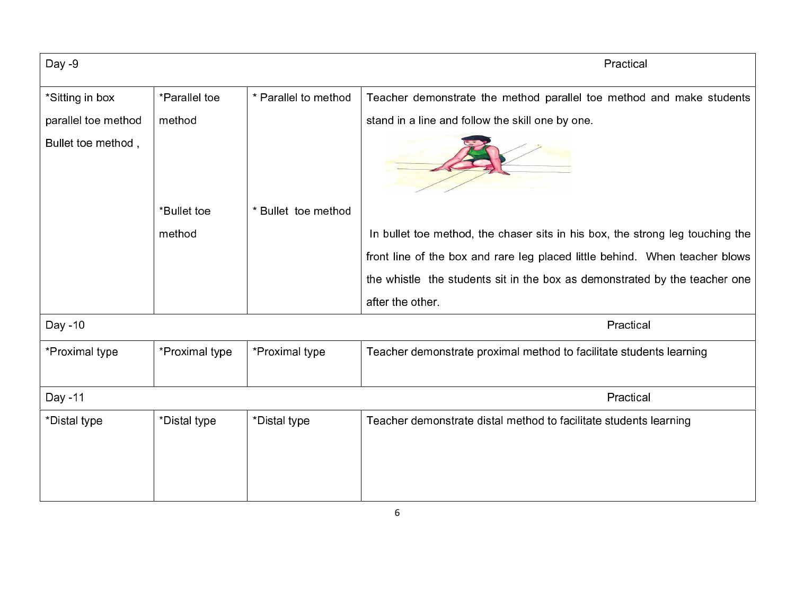| $Day -9$            |                |                      | Practical                                                                     |  |  |  |  |  |  |
|---------------------|----------------|----------------------|-------------------------------------------------------------------------------|--|--|--|--|--|--|
| *Sitting in box     | *Parallel toe  | * Parallel to method | Teacher demonstrate the method parallel toe method and make students          |  |  |  |  |  |  |
| parallel toe method | method         |                      | stand in a line and follow the skill one by one.                              |  |  |  |  |  |  |
| Bullet toe method,  |                |                      |                                                                               |  |  |  |  |  |  |
|                     | *Bullet toe    | * Bullet toe method  |                                                                               |  |  |  |  |  |  |
|                     | method         |                      | In bullet toe method, the chaser sits in his box, the strong leg touching the |  |  |  |  |  |  |
|                     |                |                      | front line of the box and rare leg placed little behind. When teacher blows   |  |  |  |  |  |  |
|                     |                |                      | the whistle the students sit in the box as demonstrated by the teacher one    |  |  |  |  |  |  |
|                     |                |                      | after the other.                                                              |  |  |  |  |  |  |
| Day -10             |                |                      | Practical                                                                     |  |  |  |  |  |  |
| *Proximal type      | *Proximal type | *Proximal type       | Teacher demonstrate proximal method to facilitate students learning           |  |  |  |  |  |  |
| Day -11             |                |                      | Practical                                                                     |  |  |  |  |  |  |
| *Distal type        | *Distal type   | *Distal type         | Teacher demonstrate distal method to facilitate students learning             |  |  |  |  |  |  |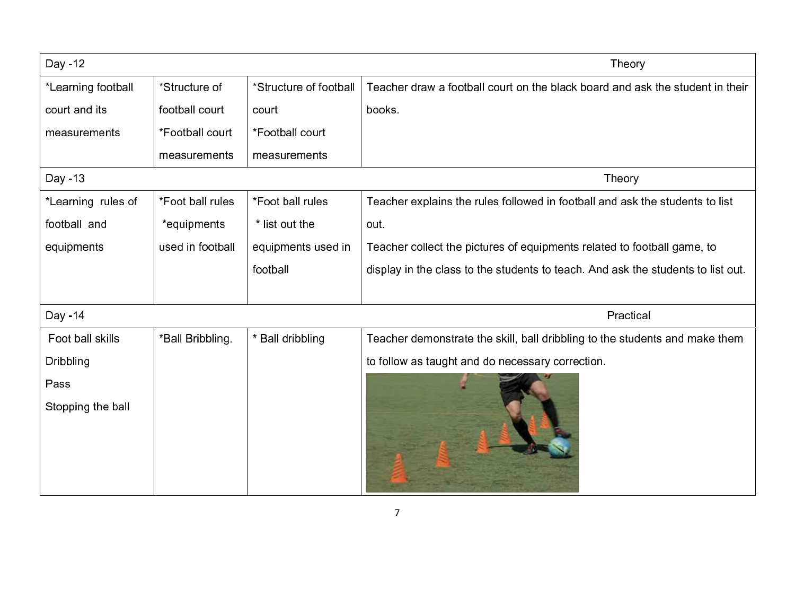| Day -12            |                  |                        | Theory                                                                           |  |  |  |  |  |
|--------------------|------------------|------------------------|----------------------------------------------------------------------------------|--|--|--|--|--|
| *Learning football | *Structure of    | *Structure of football | Teacher draw a football court on the black board and ask the student in their    |  |  |  |  |  |
| court and its      | football court   | court                  | books.                                                                           |  |  |  |  |  |
| measurements       | *Football court  | *Football court        |                                                                                  |  |  |  |  |  |
|                    | measurements     | measurements           |                                                                                  |  |  |  |  |  |
| Day -13            |                  |                        | Theory                                                                           |  |  |  |  |  |
| *Learning rules of | *Foot ball rules | *Foot ball rules       | Teacher explains the rules followed in football and ask the students to list     |  |  |  |  |  |
| football and       | *equipments      | * list out the         | out.                                                                             |  |  |  |  |  |
| equipments         | used in football | equipments used in     | Teacher collect the pictures of equipments related to football game, to          |  |  |  |  |  |
|                    |                  | football               | display in the class to the students to teach. And ask the students to list out. |  |  |  |  |  |
|                    |                  |                        |                                                                                  |  |  |  |  |  |
| Day -14            |                  |                        | Practical                                                                        |  |  |  |  |  |
| Foot ball skills   | *Ball Bribbling. | * Ball dribbling       | Teacher demonstrate the skill, ball dribbling to the students and make them      |  |  |  |  |  |
| Dribbling          |                  |                        | to follow as taught and do necessary correction.                                 |  |  |  |  |  |
| Pass               |                  |                        |                                                                                  |  |  |  |  |  |
| Stopping the ball  |                  |                        |                                                                                  |  |  |  |  |  |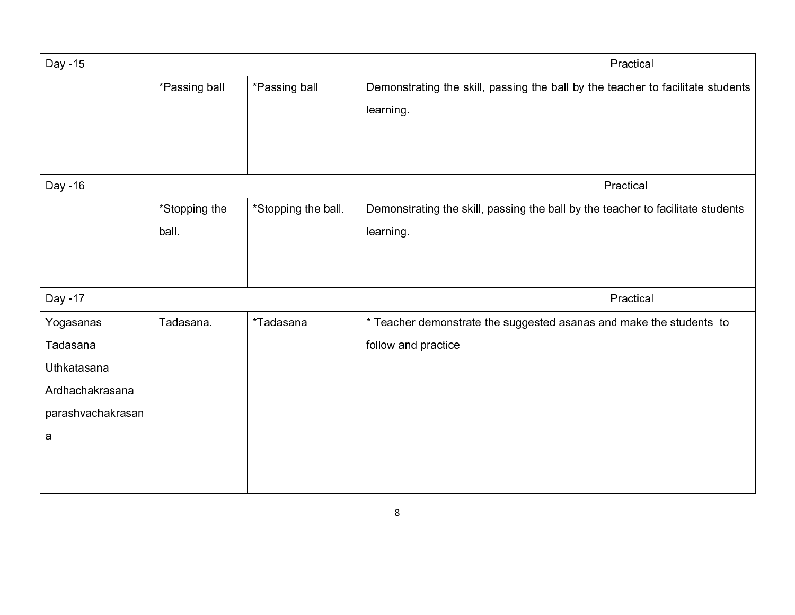| Day -15           |               |                     | Practical                                                                                    |
|-------------------|---------------|---------------------|----------------------------------------------------------------------------------------------|
|                   | *Passing ball | *Passing ball       | Demonstrating the skill, passing the ball by the teacher to facilitate students<br>learning. |
| Day -16           |               |                     | Practical                                                                                    |
|                   | *Stopping the | *Stopping the ball. | Demonstrating the skill, passing the ball by the teacher to facilitate students              |
|                   | ball.         |                     | learning.                                                                                    |
|                   |               |                     |                                                                                              |
| Day -17           |               |                     | Practical                                                                                    |
| Yogasanas         | Tadasana.     | *Tadasana           | * Teacher demonstrate the suggested asanas and make the students to                          |
| Tadasana          |               |                     | follow and practice                                                                          |
| Uthkatasana       |               |                     |                                                                                              |
| Ardhachakrasana   |               |                     |                                                                                              |
| parashvachakrasan |               |                     |                                                                                              |
| a                 |               |                     |                                                                                              |
|                   |               |                     |                                                                                              |
|                   |               |                     |                                                                                              |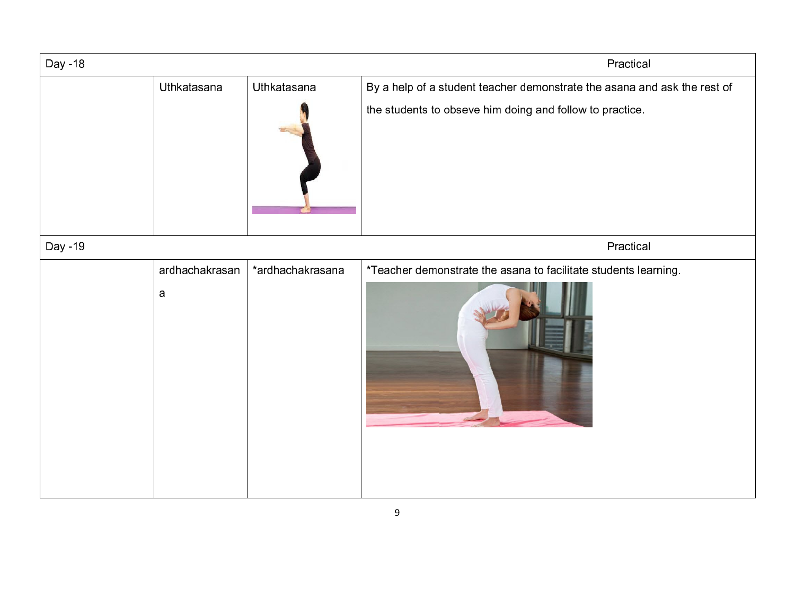| Day -18 |                |                  | Practical                                                                                                                            |  |  |  |  |  |
|---------|----------------|------------------|--------------------------------------------------------------------------------------------------------------------------------------|--|--|--|--|--|
|         | Uthkatasana    | Uthkatasana      | By a help of a student teacher demonstrate the asana and ask the rest of<br>the students to obseve him doing and follow to practice. |  |  |  |  |  |
|         |                |                  |                                                                                                                                      |  |  |  |  |  |
| Day -19 |                |                  | Practical                                                                                                                            |  |  |  |  |  |
|         | ardhachakrasan | *ardhachakrasana | *Teacher demonstrate the asana to facilitate students learning.                                                                      |  |  |  |  |  |
|         | $\mathbf a$    |                  |                                                                                                                                      |  |  |  |  |  |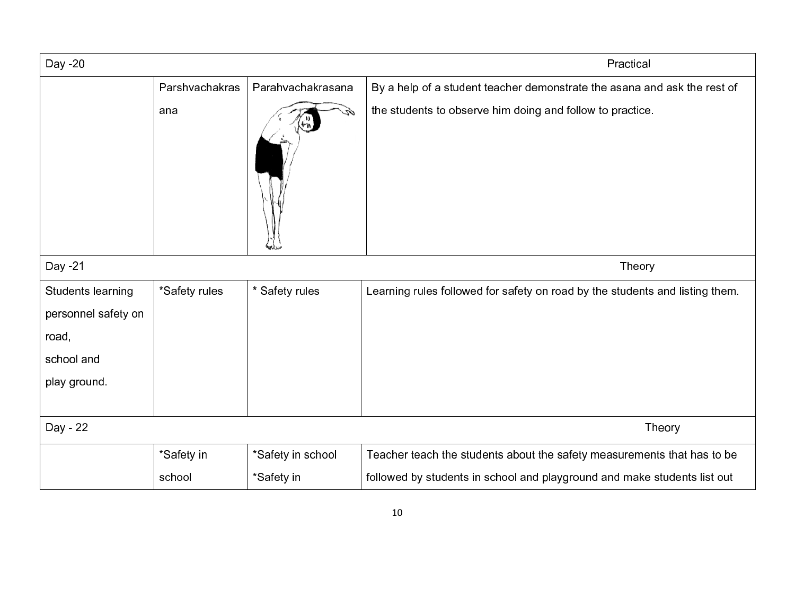| Day -20                                                                         |                |                   | Practical                                                                    |
|---------------------------------------------------------------------------------|----------------|-------------------|------------------------------------------------------------------------------|
|                                                                                 | Parshvachakras | Parahvachakrasana | By a help of a student teacher demonstrate the asana and ask the rest of     |
|                                                                                 | ana            |                   | the students to observe him doing and follow to practice.                    |
| Day -21                                                                         |                |                   | Theory                                                                       |
| Students learning<br>personnel safety on<br>road,<br>school and<br>play ground. | *Safety rules  | * Safety rules    | Learning rules followed for safety on road by the students and listing them. |
| Day - 22                                                                        |                |                   | Theory                                                                       |
|                                                                                 | *Safety in     | *Safety in school | Teacher teach the students about the safety measurements that has to be      |
|                                                                                 | school         | *Safety in        | followed by students in school and playground and make students list out     |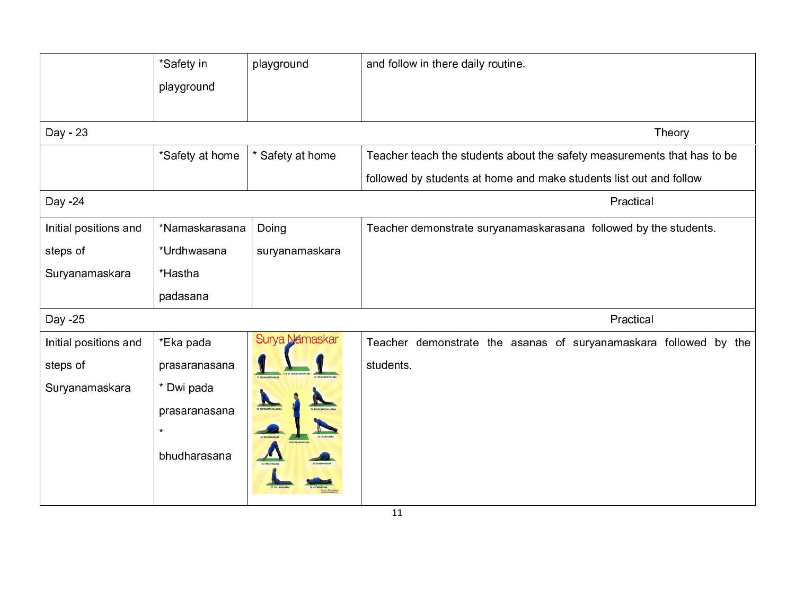|                       | *Safety in      | playground       | and follow in there daily routine.                                      |
|-----------------------|-----------------|------------------|-------------------------------------------------------------------------|
|                       | playground      |                  |                                                                         |
|                       |                 |                  |                                                                         |
| Day - 23              |                 |                  | Theory                                                                  |
|                       | *Safety at home | * Safety at home | Teacher teach the students about the safety measurements that has to be |
|                       |                 |                  | followed by students at home and make students list out and follow      |
| Day -24               |                 |                  | Practical                                                               |
| Initial positions and | *Namaskarasana  | Doing            | Teacher demonstrate suryanamaskarasana followed by the students.        |
| steps of              | *Urdhwasana     | suryanamaskara   |                                                                         |
| Suryanamaskara        | *Hastha         |                  |                                                                         |
|                       | padasana        |                  |                                                                         |
| Day -25               |                 |                  | Practical                                                               |
| Initial positions and | *Eka pada       | Surya Namaskar   | Teacher demonstrate the asanas of suryanamaskara followed by the        |
| steps of              | prasaranasana   |                  | students.                                                               |
| Suryanamaskara        | * Dwi pada      |                  |                                                                         |
|                       | prasaranasana   |                  |                                                                         |
|                       | $\star$         |                  |                                                                         |
|                       | bhudharasana    |                  |                                                                         |
|                       |                 |                  |                                                                         |
|                       |                 |                  |                                                                         |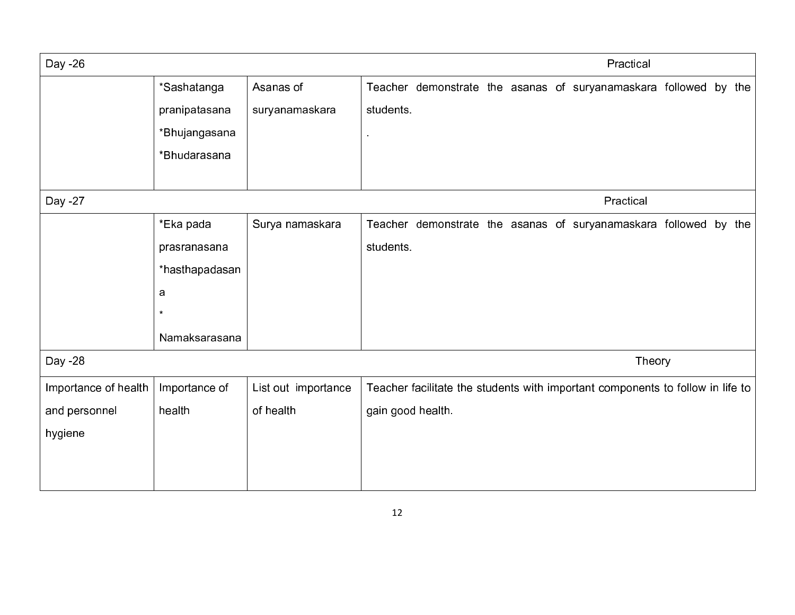| Day -26              |                |                     |                   |  |  | Practical                                                                      |  |  |
|----------------------|----------------|---------------------|-------------------|--|--|--------------------------------------------------------------------------------|--|--|
|                      | *Sashatanga    | Asanas of           |                   |  |  | Teacher demonstrate the asanas of suryanamaskara followed by the               |  |  |
|                      | pranipatasana  | suryanamaskara      | students.         |  |  |                                                                                |  |  |
|                      | *Bhujangasana  |                     |                   |  |  |                                                                                |  |  |
|                      | *Bhudarasana   |                     |                   |  |  |                                                                                |  |  |
|                      |                |                     |                   |  |  |                                                                                |  |  |
| Day -27              |                |                     |                   |  |  | Practical                                                                      |  |  |
|                      | *Eka pada      | Surya namaskara     |                   |  |  | Teacher demonstrate the asanas of suryanamaskara followed by the               |  |  |
|                      | prasranasana   |                     | students.         |  |  |                                                                                |  |  |
|                      | *hasthapadasan |                     |                   |  |  |                                                                                |  |  |
|                      | a              |                     |                   |  |  |                                                                                |  |  |
|                      | $\star$        |                     |                   |  |  |                                                                                |  |  |
|                      | Namaksarasana  |                     |                   |  |  |                                                                                |  |  |
| Day -28              |                |                     |                   |  |  | Theory                                                                         |  |  |
| Importance of health | Importance of  | List out importance |                   |  |  | Teacher facilitate the students with important components to follow in life to |  |  |
| and personnel        | health         | of health           | gain good health. |  |  |                                                                                |  |  |
| hygiene              |                |                     |                   |  |  |                                                                                |  |  |
|                      |                |                     |                   |  |  |                                                                                |  |  |
|                      |                |                     |                   |  |  |                                                                                |  |  |